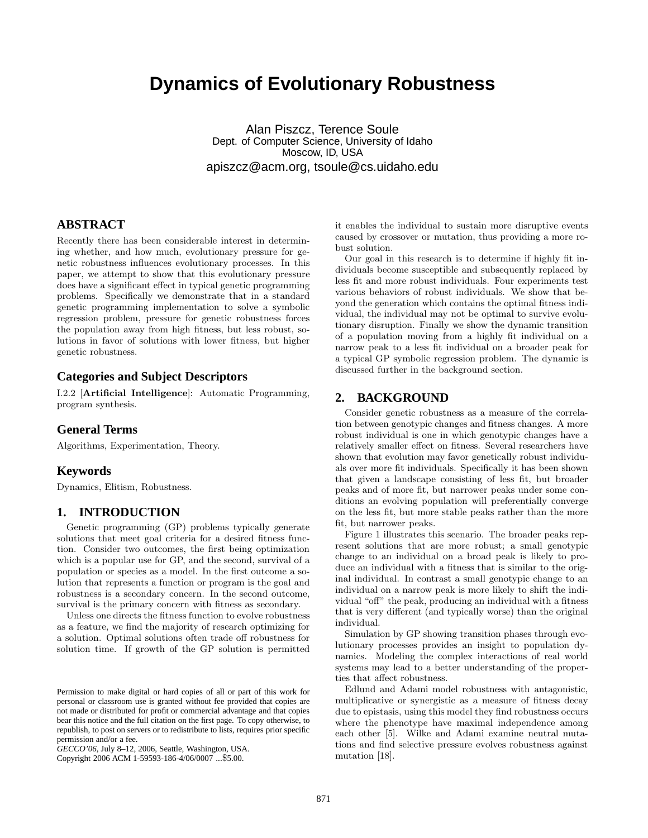# **Dynamics of Evolutionary Robustness**

Alan Piszcz, Terence Soule Dept. of Computer Science, University of Idaho Moscow, ID, USA apiszcz@acm.org, tsoule@cs.uidaho.edu

## **ABSTRACT**

Recently there has been considerable interest in determining whether, and how much, evolutionary pressure for genetic robustness influences evolutionary processes. In this paper, we attempt to show that this evolutionary pressure does have a significant effect in typical genetic programming problems. Specifically we demonstrate that in a standard genetic programming implementation to solve a symbolic regression problem, pressure for genetic robustness forces the population away from high fitness, but less robust, solutions in favor of solutions with lower fitness, but higher genetic robustness.

## **Categories and Subject Descriptors**

I.2.2 [Artificial Intelligence]: Automatic Programming, program synthesis.

## **General Terms**

Algorithms, Experimentation, Theory.

## **Keywords**

Dynamics, Elitism, Robustness.

## **1. INTRODUCTION**

Genetic programming (GP) problems typically generate solutions that meet goal criteria for a desired fitness function. Consider two outcomes, the first being optimization which is a popular use for GP, and the second, survival of a population or species as a model. In the first outcome a solution that represents a function or program is the goal and robustness is a secondary concern. In the second outcome, survival is the primary concern with fitness as secondary.

Unless one directs the fitness function to evolve robustness as a feature, we find the majority of research optimizing for a solution. Optimal solutions often trade off robustness for solution time. If growth of the GP solution is permitted

Copyright 2006 ACM 1-59593-186-4/06/0007 ...\$5.00.

it enables the individual to sustain more disruptive events caused by crossover or mutation, thus providing a more robust solution.

Our goal in this research is to determine if highly fit individuals become susceptible and subsequently replaced by less fit and more robust individuals. Four experiments test various behaviors of robust individuals. We show that beyond the generation which contains the optimal fitness individual, the individual may not be optimal to survive evolutionary disruption. Finally we show the dynamic transition of a population moving from a highly fit individual on a narrow peak to a less fit individual on a broader peak for a typical GP symbolic regression problem. The dynamic is discussed further in the background section.

## **2. BACKGROUND**

Consider genetic robustness as a measure of the correlation between genotypic changes and fitness changes. A more robust individual is one in which genotypic changes have a relatively smaller effect on fitness. Several researchers have shown that evolution may favor genetically robust individuals over more fit individuals. Specifically it has been shown that given a landscape consisting of less fit, but broader peaks and of more fit, but narrower peaks under some conditions an evolving population will preferentially converge on the less fit, but more stable peaks rather than the more fit, but narrower peaks.

Figure 1 illustrates this scenario. The broader peaks represent solutions that are more robust; a small genotypic change to an individual on a broad peak is likely to produce an individual with a fitness that is similar to the original individual. In contrast a small genotypic change to an individual on a narrow peak is more likely to shift the individual "off" the peak, producing an individual with a fitness that is very different (and typically worse) than the original individual.

Simulation by GP showing transition phases through evolutionary processes provides an insight to population dynamics. Modeling the complex interactions of real world systems may lead to a better understanding of the properties that affect robustness.

Edlund and Adami model robustness with antagonistic, multiplicative or synergistic as a measure of fitness decay due to epistasis, using this model they find robustness occurs where the phenotype have maximal independence among each other [5]. Wilke and Adami examine neutral mutations and find selective pressure evolves robustness against mutation [18].

Permission to make digital or hard copies of all or part of this work for personal or classroom use is granted without fee provided that copies are not made or distributed for profit or commercial advantage and that copies bear this notice and the full citation on the first page. To copy otherwise, to republish, to post on servers or to redistribute to lists, requires prior specific permission and/or a fee.

*GECCO'06,* July 8–12, 2006, Seattle, Washington, USA.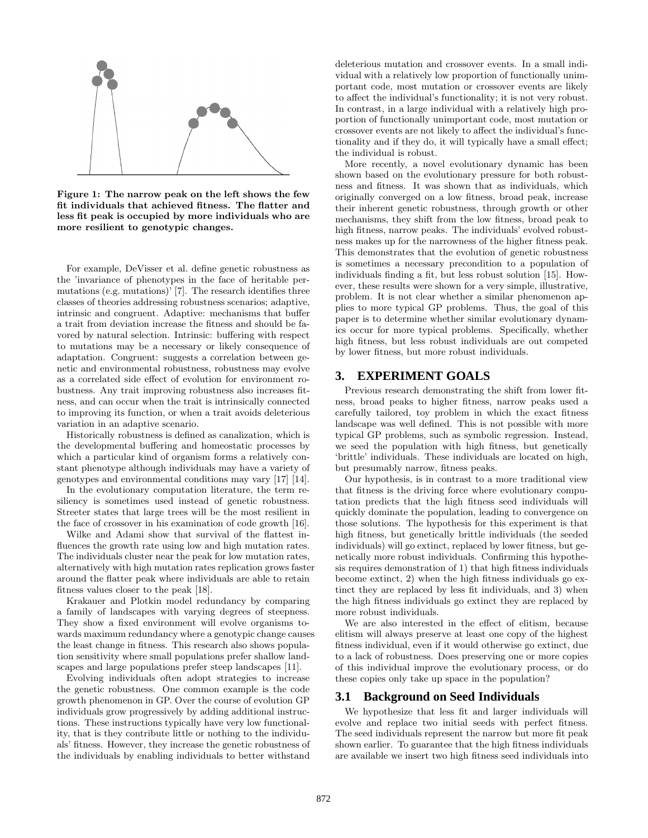

Figure 1: The narrow peak on the left shows the few fit individuals that achieved fitness. The flatter and less fit peak is occupied by more individuals who are more resilient to genotypic changes.

For example, DeVisser et al. define genetic robustness as the 'invariance of phenotypes in the face of heritable permutations (e.g. mutations)' [7]. The research identifies three classes of theories addressing robustness scenarios; adaptive, intrinsic and congruent. Adaptive: mechanisms that buffer a trait from deviation increase the fitness and should be favored by natural selection. Intrinsic: buffering with respect to mutations may be a necessary or likely consequence of adaptation. Congruent: suggests a correlation between genetic and environmental robustness, robustness may evolve as a correlated side effect of evolution for environment robustness. Any trait improving robustness also increases fitness, and can occur when the trait is intrinsically connected to improving its function, or when a trait avoids deleterious variation in an adaptive scenario.

Historically robustness is defined as canalization, which is the developmental buffering and homeostatic processes by which a particular kind of organism forms a relatively constant phenotype although individuals may have a variety of genotypes and environmental conditions may vary [17] [14].

In the evolutionary computation literature, the term resiliency is sometimes used instead of genetic robustness. Streeter states that large trees will be the most resilient in the face of crossover in his examination of code growth [16].

Wilke and Adami show that survival of the flattest influences the growth rate using low and high mutation rates. The individuals cluster near the peak for low mutation rates, alternatively with high mutation rates replication grows faster around the flatter peak where individuals are able to retain fitness values closer to the peak [18].

Krakauer and Plotkin model redundancy by comparing a family of landscapes with varying degrees of steepness. They show a fixed environment will evolve organisms towards maximum redundancy where a genotypic change causes the least change in fitness. This research also shows population sensitivity where small populations prefer shallow landscapes and large populations prefer steep landscapes [11].

Evolving individuals often adopt strategies to increase the genetic robustness. One common example is the code growth phenomenon in GP. Over the course of evolution GP individuals grow progressively by adding additional instructions. These instructions typically have very low functionality, that is they contribute little or nothing to the individuals' fitness. However, they increase the genetic robustness of the individuals by enabling individuals to better withstand

deleterious mutation and crossover events. In a small individual with a relatively low proportion of functionally unimportant code, most mutation or crossover events are likely to affect the individual's functionality; it is not very robust. In contrast, in a large individual with a relatively high proportion of functionally unimportant code, most mutation or crossover events are not likely to affect the individual's functionality and if they do, it will typically have a small effect; the individual is robust.

More recently, a novel evolutionary dynamic has been shown based on the evolutionary pressure for both robustness and fitness. It was shown that as individuals, which originally converged on a low fitness, broad peak, increase their inherent genetic robustness, through growth or other mechanisms, they shift from the low fitness, broad peak to high fitness, narrow peaks. The individuals' evolved robustness makes up for the narrowness of the higher fitness peak. This demonstrates that the evolution of genetic robustness is sometimes a necessary precondition to a population of individuals finding a fit, but less robust solution [15]. However, these results were shown for a very simple, illustrative, problem. It is not clear whether a similar phenomenon applies to more typical GP problems. Thus, the goal of this paper is to determine whether similar evolutionary dynamics occur for more typical problems. Specifically, whether high fitness, but less robust individuals are out competed by lower fitness, but more robust individuals.

## **3. EXPERIMENT GOALS**

Previous research demonstrating the shift from lower fitness, broad peaks to higher fitness, narrow peaks used a carefully tailored, toy problem in which the exact fitness landscape was well defined. This is not possible with more typical GP problems, such as symbolic regression. Instead, we seed the population with high fitness, but genetically 'brittle' individuals. These individuals are located on high, but presumably narrow, fitness peaks.

Our hypothesis, is in contrast to a more traditional view that fitness is the driving force where evolutionary computation predicts that the high fitness seed individuals will quickly dominate the population, leading to convergence on those solutions. The hypothesis for this experiment is that high fitness, but genetically brittle individuals (the seeded individuals) will go extinct, replaced by lower fitness, but genetically more robust individuals. Confirming this hypothesis requires demonstration of 1) that high fitness individuals become extinct, 2) when the high fitness individuals go extinct they are replaced by less fit individuals, and 3) when the high fitness individuals go extinct they are replaced by more robust individuals.

We are also interested in the effect of elitism, because elitism will always preserve at least one copy of the highest fitness individual, even if it would otherwise go extinct, due to a lack of robustness. Does preserving one or more copies of this individual improve the evolutionary process, or do these copies only take up space in the population?

#### **3.1 Background on Seed Individuals**

We hypothesize that less fit and larger individuals will evolve and replace two initial seeds with perfect fitness. The seed individuals represent the narrow but more fit peak shown earlier. To guarantee that the high fitness individuals are available we insert two high fitness seed individuals into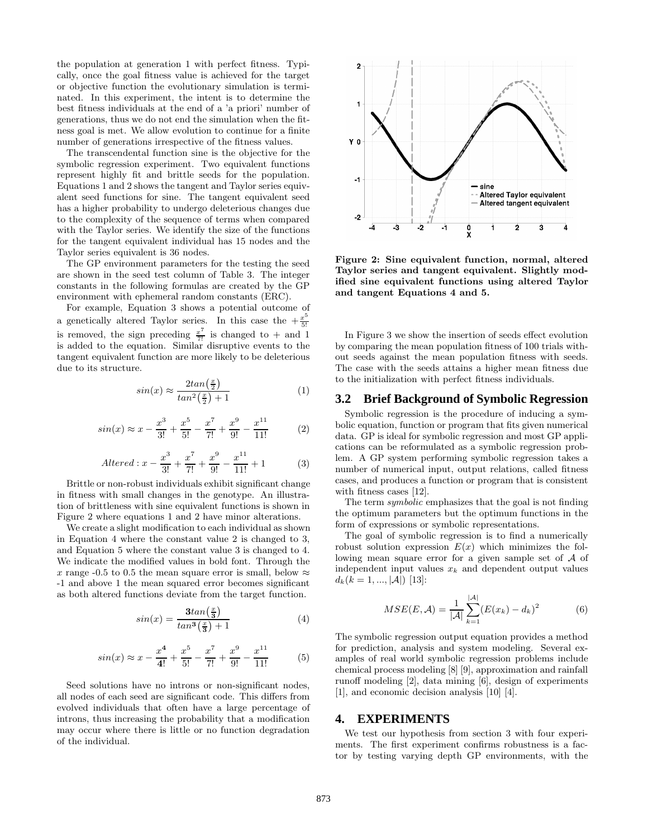the population at generation 1 with perfect fitness. Typically, once the goal fitness value is achieved for the target or objective function the evolutionary simulation is terminated. In this experiment, the intent is to determine the best fitness individuals at the end of a 'a priori' number of generations, thus we do not end the simulation when the fitness goal is met. We allow evolution to continue for a finite number of generations irrespective of the fitness values.

The transcendental function sine is the objective for the symbolic regression experiment. Two equivalent functions represent highly fit and brittle seeds for the population. Equations 1 and 2 shows the tangent and Taylor series equivalent seed functions for sine. The tangent equivalent seed has a higher probability to undergo deleterious changes due to the complexity of the sequence of terms when compared with the Taylor series. We identify the size of the functions for the tangent equivalent individual has 15 nodes and the Taylor series equivalent is 36 nodes.

The GP environment parameters for the testing the seed are shown in the seed test column of Table 3. The integer constants in the following formulas are created by the GP environment with ephemeral random constants (ERC).

For example, Equation 3 shows a potential outcome of a genetically altered Taylor series. In this case the  $+\frac{x^5}{5!}$ 5! is removed, the sign preceding  $\frac{x^7}{7!}$  is changed to + and 1 is added to the equation. Similar disruptive events to the tangent equivalent function are more likely to be deleterious due to its structure.

$$
sin(x) \approx \frac{2tan(\frac{x}{2})}{tan^2(\frac{x}{2}) + 1}
$$
 (1)

$$
sin(x) \approx x - \frac{x^3}{3!} + \frac{x^5}{5!} - \frac{x^7}{7!} + \frac{x^9}{9!} - \frac{x^{11}}{11!}
$$
 (2)

$$
Altered: x - \frac{x^3}{3!} + \frac{x^7}{7!} + \frac{x^9}{9!} - \frac{x^{11}}{11!} + 1
$$
 (3)

Brittle or non-robust individuals exhibit significant change in fitness with small changes in the genotype. An illustration of brittleness with sine equivalent functions is shown in Figure 2 where equations 1 and 2 have minor alterations.

We create a slight modification to each individual as shown in Equation 4 where the constant value 2 is changed to 3, and Equation 5 where the constant value 3 is changed to 4. We indicate the modified values in bold font. Through the x range -0.5 to 0.5 the mean square error is small, below  $\approx$ -1 and above 1 the mean squared error becomes significant as both altered functions deviate from the target function.

$$
sin(x) = \frac{3tan(\frac{x}{3})}{tan^3(\frac{x}{3}) + 1}
$$
(4)

$$
sin(x) \approx x - \frac{x^4}{4!} + \frac{x^5}{5!} - \frac{x^7}{7!} + \frac{x^9}{9!} - \frac{x^{11}}{11!}
$$
 (5)

Seed solutions have no introns or non-significant nodes, all nodes of each seed are significant code. This differs from evolved individuals that often have a large percentage of introns, thus increasing the probability that a modification may occur where there is little or no function degradation of the individual.



Figure 2: Sine equivalent function, normal, altered Taylor series and tangent equivalent. Slightly modified sine equivalent functions using altered Taylor and tangent Equations 4 and 5.

In Figure 3 we show the insertion of seeds effect evolution by comparing the mean population fitness of 100 trials without seeds against the mean population fitness with seeds. The case with the seeds attains a higher mean fitness due to the initialization with perfect fitness individuals.

#### **3.2 Brief Background of Symbolic Regression**

Symbolic regression is the procedure of inducing a symbolic equation, function or program that fits given numerical data. GP is ideal for symbolic regression and most GP applications can be reformulated as a symbolic regression problem. A GP system performing symbolic regression takes a number of numerical input, output relations, called fitness cases, and produces a function or program that is consistent with fitness cases [12].

The term symbolic emphasizes that the goal is not finding the optimum parameters but the optimum functions in the form of expressions or symbolic representations.

The goal of symbolic regression is to find a numerically robust solution expression  $E(x)$  which minimizes the following mean square error for a given sample set of A of independent input values  $x_k$  and dependent output values  $d_k(k = 1, ..., |\mathcal{A}|)$  [13]:

$$
MSE(E, \mathcal{A}) = \frac{1}{|\mathcal{A}|} \sum_{k=1}^{|\mathcal{A}|} (E(x_k) - d_k)^2
$$
 (6)

The symbolic regression output equation provides a method for prediction, analysis and system modeling. Several examples of real world symbolic regression problems include chemical process modeling [8] [9], approximation and rainfall runoff modeling [2], data mining [6], design of experiments [1], and economic decision analysis [10] [4].

## **4. EXPERIMENTS**

We test our hypothesis from section 3 with four experiments. The first experiment confirms robustness is a factor by testing varying depth GP environments, with the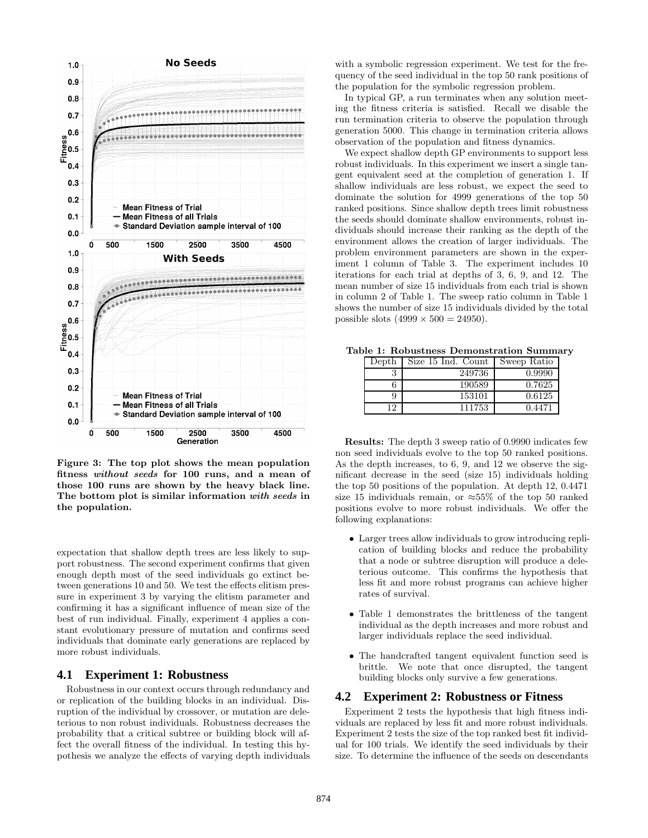

Figure 3: The top plot shows the mean population fitness without seeds for 100 runs, and a mean of those 100 runs are shown by the heavy black line. The bottom plot is similar information with seeds in the population.

expectation that shallow depth trees are less likely to support robustness. The second experiment confirms that given enough depth most of the seed individuals go extinct between generations 10 and 50. We test the effects elitism pressure in experiment 3 by varying the elitism parameter and confirming it has a significant influence of mean size of the best of run individual. Finally, experiment 4 applies a constant evolutionary pressure of mutation and confirms seed individuals that dominate early generations are replaced by more robust individuals.

## **4.1 Experiment 1: Robustness**

Robustness in our context occurs through redundancy and or replication of the building blocks in an individual. Disruption of the individual by crossover, or mutation are deleterious to non robust individuals. Robustness decreases the probability that a critical subtree or building block will affect the overall fitness of the individual. In testing this hypothesis we analyze the effects of varying depth individuals

with a symbolic regression experiment. We test for the frequency of the seed individual in the top 50 rank positions of the population for the symbolic regression problem.

In typical GP, a run terminates when any solution meeting the fitness criteria is satisfied. Recall we disable the run termination criteria to observe the population through generation 5000. This change in termination criteria allows observation of the population and fitness dynamics.

We expect shallow depth GP environments to support less robust individuals. In this experiment we insert a single tangent equivalent seed at the completion of generation 1. If shallow individuals are less robust, we expect the seed to dominate the solution for 4999 generations of the top 50 ranked positions. Since shallow depth trees limit robustness the seeds should dominate shallow environments, robust individuals should increase their ranking as the depth of the environment allows the creation of larger individuals. The problem environment parameters are shown in the experiment 1 column of Table 3. The experiment includes 10 iterations for each trial at depths of 3, 6, 9, and 12. The mean number of size 15 individuals from each trial is shown in column 2 of Table 1. The sweep ratio column in Table 1 shows the number of size 15 individuals divided by the total possible slots  $(4999 \times 500 = 24950)$ .

Table 1: Robustness Demonstration Summary

| Depth | Size 15 Ind. Count | Sweep Ratio |
|-------|--------------------|-------------|
|       | 249736             | 0.9990      |
| n     | 190589             | 0.7625      |
| 9     | 153101             | 0.6125      |
| 12    | 111753             | 0.4471      |

Results: The depth 3 sweep ratio of 0.9990 indicates few non seed individuals evolve to the top 50 ranked positions. As the depth increases, to 6, 9, and 12 we observe the significant decrease in the seed (size 15) individuals holding the top 50 positions of the population. At depth 12, 0.4471 size 15 individuals remain, or  $\approx 55\%$  of the top 50 ranked positions evolve to more robust individuals. We offer the following explanations:

- Larger trees allow individuals to grow introducing replication of building blocks and reduce the probability that a node or subtree disruption will produce a deleterious outcome. This confirms the hypothesis that less fit and more robust programs can achieve higher rates of survival.
- Table 1 demonstrates the brittleness of the tangent individual as the depth increases and more robust and larger individuals replace the seed individual.
- The handcrafted tangent equivalent function seed is brittle. We note that once disrupted, the tangent building blocks only survive a few generations.

#### **4.2 Experiment 2: Robustness or Fitness**

Experiment 2 tests the hypothesis that high fitness individuals are replaced by less fit and more robust individuals. Experiment 2 tests the size of the top ranked best fit individual for 100 trials. We identify the seed individuals by their size. To determine the influence of the seeds on descendants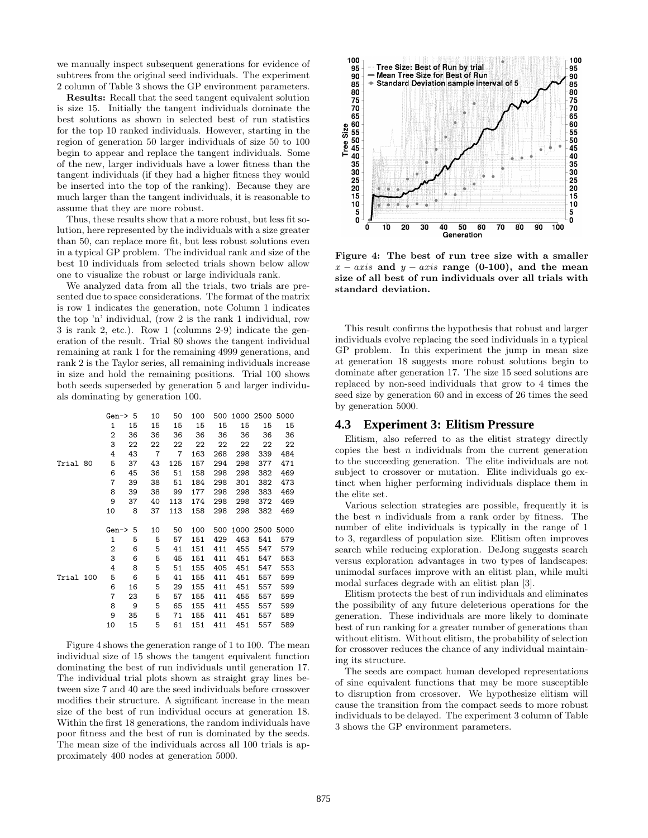we manually inspect subsequent generations for evidence of subtrees from the original seed individuals. The experiment 2 column of Table 3 shows the GP environment parameters.

Results: Recall that the seed tangent equivalent solution is size 15. Initially the tangent individuals dominate the best solutions as shown in selected best of run statistics for the top 10 ranked individuals. However, starting in the region of generation 50 larger individuals of size 50 to 100 begin to appear and replace the tangent individuals. Some of the new, larger individuals have a lower fitness than the tangent individuals (if they had a higher fitness they would be inserted into the top of the ranking). Because they are much larger than the tangent individuals, it is reasonable to assume that they are more robust.

Thus, these results show that a more robust, but less fit solution, here represented by the individuals with a size greater than 50, can replace more fit, but less robust solutions even in a typical GP problem. The individual rank and size of the best 10 individuals from selected trials shown below allow one to visualize the robust or large individuals rank.

We analyzed data from all the trials, two trials are presented due to space considerations. The format of the matrix is row 1 indicates the generation, note Column 1 indicates the top 'n' individual, (row 2 is the rank 1 individual, row 3 is rank 2, etc.). Row 1 (columns 2-9) indicate the generation of the result. Trial 80 shows the tangent individual remaining at rank 1 for the remaining 4999 generations, and rank 2 is the Taylor series, all remaining individuals increase in size and hold the remaining positions. Trial 100 shows both seeds superseded by generation 5 and larger individuals dominating by generation 100.

|           |  |                | Gen $\rightarrow$ 5 | 10             | 50             | 100 |     |      | 500 1000 2500 5000 |      |
|-----------|--|----------------|---------------------|----------------|----------------|-----|-----|------|--------------------|------|
|           |  | $\mathbf{1}$   | 15                  | 15             | 15             | 15  | 15  | 15   | 15                 | 15   |
| Trial 80  |  | 2              | 36                  | 36             | 36             | 36  | 36  | 36   | 36                 | 36   |
|           |  | 3              | 22                  | 22             | 22             | 22  | 22  | 22   | 22                 | 22   |
|           |  | 4              | 43                  | $\overline{7}$ | $\overline{7}$ | 163 | 268 | 298  | 339                | 484  |
|           |  | 5              | 37                  | 43             | 125            | 157 | 294 | 298  | 377                | 471  |
|           |  | 6              | 45                  | 36             | 51             | 158 | 298 | 298  | 382                | 469  |
|           |  | 7              | 39                  | 38             | 51             | 184 | 298 | 301  | 382                | 473  |
|           |  | 8              | 39                  | 38             | 99             | 177 | 298 | 298  | 383                | 469  |
|           |  | 9              | 37                  | 40             | 113            | 174 | 298 | 298  | 372                | 469  |
|           |  | 10             | 8                   | 37             | 113            | 158 | 298 | 298  | 382                | 469  |
|           |  |                |                     |                |                |     |     |      |                    |      |
|           |  |                |                     |                |                |     |     |      |                    |      |
|           |  | Gen->          | 5                   | 10             | 50             | 100 | 500 | 1000 | 2500               | 5000 |
|           |  | $\mathbf{1}$   | 5                   | 5              | 57             | 151 | 429 | 463  | 541                | 579  |
|           |  | $\overline{2}$ | 6                   | 5              | 41             | 151 | 411 | 455  | 547                | 579  |
|           |  | 3              | 6                   | 5              | 45             | 151 | 411 | 451  | 547                | 553  |
|           |  | 4              | 8                   | 5              | 51             | 155 | 405 | 451  | 547                | 553  |
| Trial 100 |  | 5              | 6                   | 5              | 41             | 155 | 411 | 451  | 557                | 599  |
|           |  | 6              | 16                  | 5              | 29             | 155 | 411 | 451  | 557                | 599  |
|           |  | 7              | 23                  | 5              | 57             | 155 | 411 | 455  | 557                | 599  |
|           |  | 8              | 9                   | 5              | 65             | 155 | 411 | 455  | 557                | 599  |
|           |  | 9              | 35                  | 5              | 71             | 155 | 411 | 451  | 557                | 589  |

Figure 4 shows the generation range of 1 to 100. The mean individual size of 15 shows the tangent equivalent function dominating the best of run individuals until generation 17. The individual trial plots shown as straight gray lines between size 7 and 40 are the seed individuals before crossover modifies their structure. A significant increase in the mean size of the best of run individual occurs at generation 18. Within the first 18 generations, the random individuals have poor fitness and the best of run is dominated by the seeds. The mean size of the individuals across all 100 trials is approximately 400 nodes at generation 5000.



Figure 4: The best of run tree size with a smaller  $x - axis$  and  $y - axis$  range (0-100), and the mean size of all best of run individuals over all trials with standard deviation.

This result confirms the hypothesis that robust and larger individuals evolve replacing the seed individuals in a typical GP problem. In this experiment the jump in mean size at generation 18 suggests more robust solutions begin to dominate after generation 17. The size 15 seed solutions are replaced by non-seed individuals that grow to 4 times the seed size by generation 60 and in excess of 26 times the seed by generation 5000.

## **4.3 Experiment 3: Elitism Pressure**

Elitism, also referred to as the elitist strategy directly copies the best  $n$  individuals from the current generation to the succeeding generation. The elite individuals are not subject to crossover or mutation. Elite individuals go extinct when higher performing individuals displace them in the elite set.

Various selection strategies are possible, frequently it is the best  $n$  individuals from a rank order by fitness. The number of elite individuals is typically in the range of 1 to 3, regardless of population size. Elitism often improves search while reducing exploration. DeJong suggests search versus exploration advantages in two types of landscapes: unimodal surfaces improve with an elitist plan, while multi modal surfaces degrade with an elitist plan [3].

Elitism protects the best of run individuals and eliminates the possibility of any future deleterious operations for the generation. These individuals are more likely to dominate best of run ranking for a greater number of generations than without elitism. Without elitism, the probability of selection for crossover reduces the chance of any individual maintaining its structure.

The seeds are compact human developed representations of sine equivalent functions that may be more susceptible to disruption from crossover. We hypothesize elitism will cause the transition from the compact seeds to more robust individuals to be delayed. The experiment 3 column of Table 3 shows the GP environment parameters.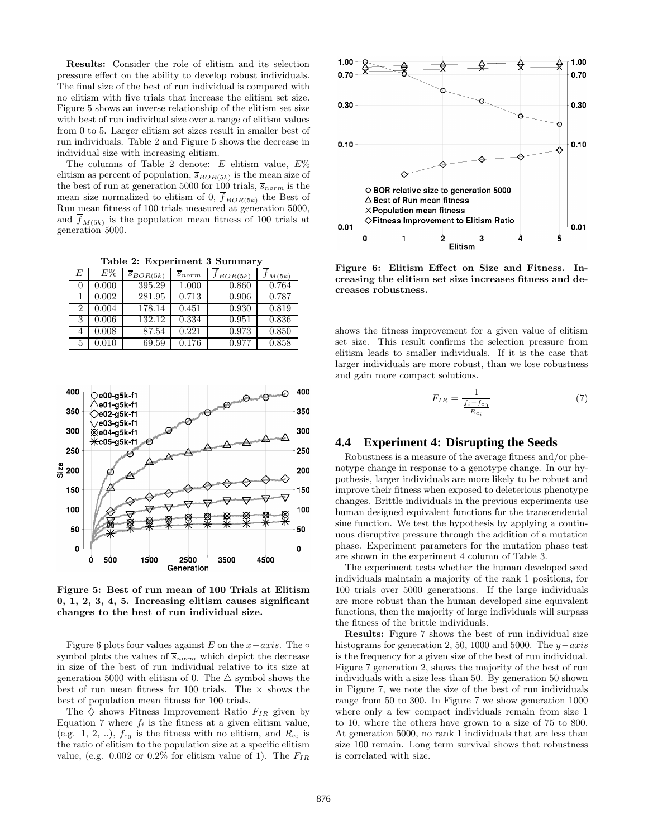Results: Consider the role of elitism and its selection pressure effect on the ability to develop robust individuals. The final size of the best of run individual is compared with no elitism with five trials that increase the elitism set size. Figure 5 shows an inverse relationship of the elitism set size with best of run individual size over a range of elitism values from 0 to 5. Larger elitism set sizes result in smaller best of run individuals. Table 2 and Figure 5 shows the decrease in individual size with increasing elitism.

The columns of Table 2 denote: E elitism value,  $E\%$ elitism as percent of population,  $\overline{s}_{BOR(5k)}$  is the mean size of the best of run at generation 5000 for 100 trials,  $\overline{s}_{norm}$  is the mean size normalized to elitism of 0,  $f_{BOR(5k)}$  the Best of Run mean fitness of 100 trials measured at generation 5000, and  $f_{M(5k)}$  is the population mean fitness of 100 trials at generation 5000.

Table 2: Experiment 3 Summary

| E | E%    | $\overline{s}_{BOR(5k)}$ | $s_{norm}$ | $J_{BOR(5k)}$ | M(5k) |
|---|-------|--------------------------|------------|---------------|-------|
| 0 | 0.000 | 395.29                   | 1.000      | 0.860         | 0.764 |
|   | 0.002 | 281.95                   | 0.713      | 0.906         | 0.787 |
| 2 | 0.004 | 178.14                   | 0.451      | 0.930         | 0.819 |
| 3 | 0.006 | 132.12                   | 0.334      | 0.951         | 0.836 |
| 4 | 0.008 | 87.54                    | 0.221      | 0.973         | 0.850 |
| 5 | 0.010 | 69.59                    | 0.176      | 0.977         | 0.858 |



Figure 5: Best of run mean of 100 Trials at Elitism 0, 1, 2, 3, 4, 5. Increasing elitism causes significant changes to the best of run individual size.

Figure 6 plots four values against E on the  $x-axis$ . The ∘ symbol plots the values of  $\overline{s}_{norm}$  which depict the decrease in size of the best of run individual relative to its size at generation 5000 with elitism of 0. The  $\triangle$  symbol shows the best of run mean fitness for 100 trials. The  $\times$  shows the best of population mean fitness for 100 trials.

The  $\diamondsuit$  shows Fitness Improvement Ratio  $F_{IR}$  given by Equation 7 where  $f_i$  is the fitness at a given elitism value, (e.g. 1, 2, ..),  $f_{e_0}$  is the fitness with no elitism, and  $R_{e_i}$  is the ratio of elitism to the population size at a specific elitism value, (e.g. 0.002 or 0.2% for elitism value of 1). The  $F_{IR}$ 



Figure 6: Elitism Effect on Size and Fitness. Increasing the elitism set size increases fitness and decreases robustness.

shows the fitness improvement for a given value of elitism set size. This result confirms the selection pressure from elitism leads to smaller individuals. If it is the case that larger individuals are more robust, than we lose robustness and gain more compact solutions.

$$
F_{IR} = \frac{1}{\frac{f_i - f_{e_0}}{R_{e_i}}} \tag{7}
$$

## **4.4 Experiment 4: Disrupting the Seeds**

Robustness is a measure of the average fitness and/or phenotype change in response to a genotype change. In our hypothesis, larger individuals are more likely to be robust and improve their fitness when exposed to deleterious phenotype changes. Brittle individuals in the previous experiments use human designed equivalent functions for the transcendental sine function. We test the hypothesis by applying a continuous disruptive pressure through the addition of a mutation phase. Experiment parameters for the mutation phase test are shown in the experiment 4 column of Table 3.

The experiment tests whether the human developed seed individuals maintain a majority of the rank 1 positions, for 100 trials over 5000 generations. If the large individuals are more robust than the human developed sine equivalent functions, then the majority of large individuals will surpass the fitness of the brittle individuals.

Results: Figure 7 shows the best of run individual size histograms for generation 2, 50, 1000 and 5000. The  $y-axis$ is the frequency for a given size of the best of run individual. Figure 7 generation 2, shows the majority of the best of run individuals with a size less than 50. By generation 50 shown in Figure 7, we note the size of the best of run individuals range from 50 to 300. In Figure 7 we show generation 1000 where only a few compact individuals remain from size 1 to 10, where the others have grown to a size of 75 to 800. At generation 5000, no rank 1 individuals that are less than size 100 remain. Long term survival shows that robustness is correlated with size.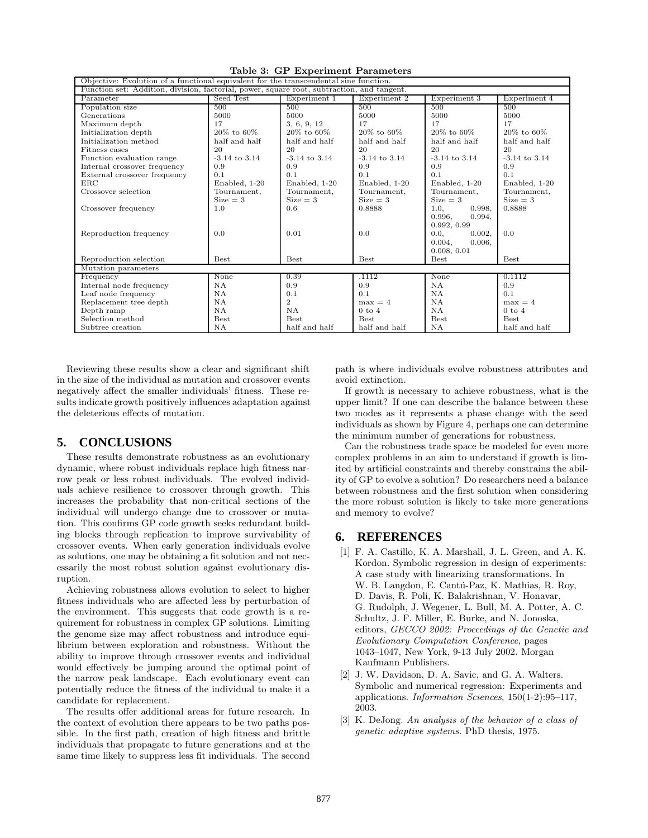| Objective: Evolution of a functional equivalent for the transcendental sine function.      |                   |                   |                   |                   |                   |  |  |
|--------------------------------------------------------------------------------------------|-------------------|-------------------|-------------------|-------------------|-------------------|--|--|
| Function set: Addition, division, factorial, power, square root, subtraction, and tangent. |                   |                   |                   |                   |                   |  |  |
| Parameter                                                                                  | Seed Test         | Experiment 1      | Experiment 2      | Experiment 3      | Experiment 4      |  |  |
| Population size                                                                            | 500               | 500               | 500               | 500               | 500               |  |  |
| Generations                                                                                | 5000              | 5000              | 5000              | 5000              | 5000              |  |  |
| Maximum depth                                                                              | 17                | 3, 6, 9, 12       | 17                | 17                | 17                |  |  |
| Initialization depth                                                                       | 20% to 60%        | 20% to 60%        | 20% to 60%        | 20% to 60%        | 20% to 60%        |  |  |
| Initialization method                                                                      | half and half     | half and half     | half and half     | half and half     | half and half     |  |  |
| Fitness cases                                                                              | 20                | 20                | 20                | 20                | 20                |  |  |
| Function evaluation range                                                                  | $-3.14$ to $3.14$ | $-3.14$ to $3.14$ | $-3.14$ to $3.14$ | $-3.14$ to $3.14$ | $-3.14$ to $3.14$ |  |  |
| Internal crossover frequency                                                               | 0.9               | 0.9               | 0.9               | 0.9               | 0.9               |  |  |
| External crossover frequency                                                               | 0.1               | 0.1               | 0.1               | 0.1               | 0.1               |  |  |
| $_{\rm ERC}$                                                                               | Enabled, 1-20     | Enabled, 1-20     | Enabled, 1-20     | Enabled, 1-20     | Enabled, 1-20     |  |  |
| Crossover selection                                                                        | Tournament,       | Tournament,       | Tournament,       | Tournament,       | Tournament,       |  |  |
|                                                                                            | $Size = 3$        | $Size = 3$        | $Size = 3$        | $Size = 3$        | $Size = 3$        |  |  |
| Crossover frequency                                                                        | 1.0               | 0.6               | 0.8888            | 1.0<br>0.998.     | 0.8888            |  |  |
|                                                                                            |                   |                   |                   | 0.996.<br>0.994,  |                   |  |  |
|                                                                                            |                   |                   |                   | 0.992, 0.99       |                   |  |  |
| Reproduction frequency                                                                     | 0.0               | 0.01              | 0.0               | 0.002,<br>0.0,    | 0.0               |  |  |
|                                                                                            |                   |                   |                   | 0.006,<br>0.004,  |                   |  |  |
|                                                                                            |                   |                   |                   | 0.008, 0.01       |                   |  |  |
| Reproduction selection                                                                     | <b>Best</b>       | <b>Best</b>       | <b>Best</b>       | <b>Best</b>       | <b>Best</b>       |  |  |
| Mutation parameters                                                                        |                   |                   |                   |                   |                   |  |  |
| Frequency                                                                                  | None              | 0.39              | .1112             | None              | 0.1112            |  |  |
| Internal node frequency                                                                    | NA.               | 0.9               | 0.9               | <b>NA</b>         | 0.9               |  |  |
| Leaf node frequency                                                                        | NA.               | 0.1               | 0.1               | NA                | 0.1               |  |  |
| Replacement tree depth                                                                     | <b>NA</b>         | $\overline{2}$    | $max = 4$         | <b>NA</b>         | $max = 4$         |  |  |
| Depth ramp                                                                                 | NΑ                | <b>NA</b>         | $0$ to $4$        | <b>NA</b>         | $0$ to $4$        |  |  |
| Selection method                                                                           | $_{\rm Best}$     | <b>Best</b>       | <b>Best</b>       | <b>Best</b>       | <b>Best</b>       |  |  |
| Subtree creation                                                                           | NA                | half and half     | half and half     | <b>NA</b>         | half and half     |  |  |

Table 3: GP Experiment Parameters

Reviewing these results show a clear and significant shift in the size of the individual as mutation and crossover events negatively affect the smaller individuals' fitness. These results indicate growth positively influences adaptation against the deleterious effects of mutation.

## **5. CONCLUSIONS**

These results demonstrate robustness as an evolutionary dynamic, where robust individuals replace high fitness narrow peak or less robust individuals. The evolved individuals achieve resilience to crossover through growth. This increases the probability that non-critical sections of the individual will undergo change due to crossover or mutation. This confirms GP code growth seeks redundant building blocks through replication to improve survivability of crossover events. When early generation individuals evolve as solutions, one may be obtaining a fit solution and not necessarily the most robust solution against evolutionary disruption.

Achieving robustness allows evolution to select to higher fitness individuals who are affected less by perturbation of the environment. This suggests that code growth is a requirement for robustness in complex GP solutions. Limiting the genome size may affect robustness and introduce equilibrium between exploration and robustness. Without the ability to improve through crossover events and individual would effectively be jumping around the optimal point of the narrow peak landscape. Each evolutionary event can potentially reduce the fitness of the individual to make it a candidate for replacement.

The results offer additional areas for future research. In the context of evolution there appears to be two paths possible. In the first path, creation of high fitness and brittle individuals that propagate to future generations and at the same time likely to suppress less fit individuals. The second

path is where individuals evolve robustness attributes and avoid extinction.

If growth is necessary to achieve robustness, what is the upper limit? If one can describe the balance between these two modes as it represents a phase change with the seed individuals as shown by Figure 4, perhaps one can determine the minimum number of generations for robustness.

Can the robustness trade space be modeled for even more complex problems in an aim to understand if growth is limited by artificial constraints and thereby constrains the ability of GP to evolve a solution? Do researchers need a balance between robustness and the first solution when considering the more robust solution is likely to take more generations and memory to evolve?

## **6. REFERENCES**

- [1] F. A. Castillo, K. A. Marshall, J. L. Green, and A. K. Kordon. Symbolic regression in design of experiments: A case study with linearizing transformations. In W. B. Langdon, E. Cantú-Paz, K. Mathias, R. Roy, D. Davis, R. Poli, K. Balakrishnan, V. Honavar, G. Rudolph, J. Wegener, L. Bull, M. A. Potter, A. C. Schultz, J. F. Miller, E. Burke, and N. Jonoska, editors, GECCO 2002: Proceedings of the Genetic and Evolutionary Computation Conference, pages 1043–1047, New York, 9-13 July 2002. Morgan Kaufmann Publishers.
- [2] J. W. Davidson, D. A. Savic, and G. A. Walters. Symbolic and numerical regression: Experiments and applications. Information Sciences, 150(1-2):95–117, 2003.
- [3] K. DeJong. An analysis of the behavior of a class of genetic adaptive systems. PhD thesis, 1975.